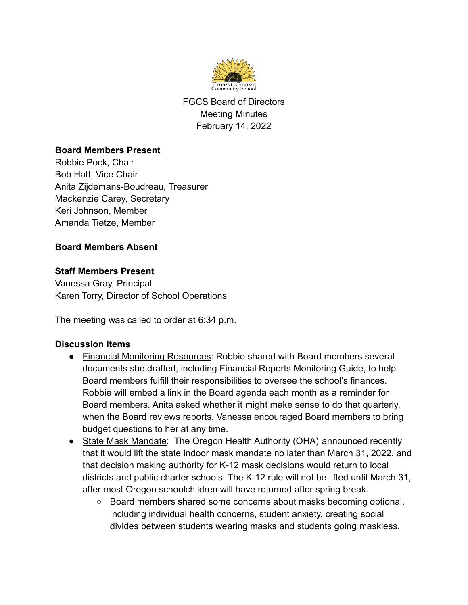

FGCS Board of Directors Meeting Minutes February 14, 2022

### **Board Members Present**

Robbie Pock, Chair Bob Hatt, Vice Chair Anita Zijdemans-Boudreau, Treasurer Mackenzie Carey, Secretary Keri Johnson, Member Amanda Tietze, Member

## **Board Members Absent**

### **Staff Members Present**

Vanessa Gray, Principal Karen Torry, Director of School Operations

The meeting was called to order at 6:34 p.m.

#### **Discussion Items**

- Financial Monitoring Resources: Robbie shared with Board members several documents she drafted, including Financial Reports Monitoring Guide, to help Board members fulfill their responsibilities to oversee the school's finances. Robbie will embed a link in the Board agenda each month as a reminder for Board members. Anita asked whether it might make sense to do that quarterly, when the Board reviews reports. Vanessa encouraged Board members to bring budget questions to her at any time.
- State Mask Mandate: The Oregon Health Authority (OHA) announced recently that it would lift the state indoor mask mandate no later than March 31, 2022, and that decision making authority for K-12 mask decisions would return to local districts and public charter schools. The K-12 rule will not be lifted until March 31, after most Oregon schoolchildren will have returned after spring break.
	- Board members shared some concerns about masks becoming optional, including individual health concerns, student anxiety, creating social divides between students wearing masks and students going maskless.